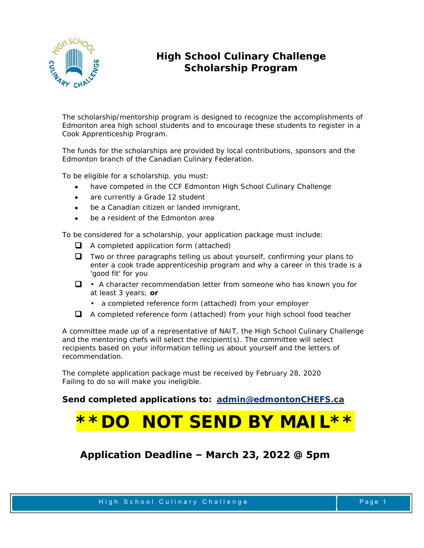

## **High School Culinary Challenge Scholarship Program**

The scholarship/mentorship program is designed to recognize the accomplishments of Edmonton area high school students and to encourage these students to register in a Cook Apprenticeship Program.

The funds for the scholarships are provided by local contributions, sponsors and the Edmonton branch of the Canadian Culinary Federation.

To be eligible for a scholarship, you must:

- have competed in the CCF Edmonton High School Culinary Challenge
- are currently a Grade 12 student
- be a Canadian citizen or landed immigrant,
- be a resident of the Edmonton area

To be considered for a scholarship, your application package must include:

- $\Box$  A completed application form (attached)
- $\Box$  Two or three paragraphs telling us about yourself, confirming your plans to enter a cook trade apprenticeship program and why a career in this trade is a 'good fit' for you
- $\Box \bullet$  A character recommendation letter from someone who has known you for at least 3 years; **or** 
	- a completed reference form (attached) from your employer
- A completed reference form (attached) from your high school food teacher

A committee made up of a representative of NAIT, the High School Culinary Challenge and the mentoring chefs will select the recipient(s). The committee will select recipients based on your information telling us about yourself and the letters of recommendation.

The complete application package must be received by February 28, 2020 Failing to do so will make you ineligible.

**Send completed applications to: admin@edmontonCHEFS.ca**

## **3 NOT SEND BY MAIL**

**Application Deadline – March 23, 2022 @ 5pm**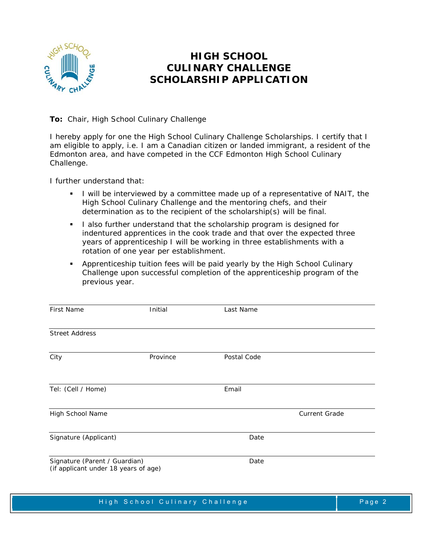

## **HIGH SCHOOL CULINARY CHALLENGE SCHOLARSHIP APPLICATION**

**To:** Chair, High School Culinary Challenge

I hereby apply for one the High School Culinary Challenge Scholarships. I certify that I am eligible to apply, i.e. I am a Canadian citizen or landed immigrant, a resident of the Edmonton area, and have competed in the CCF Edmonton High School Culinary Challenge.

I further understand that:

- I will be interviewed by a committee made up of a representative of NAIT, the High School Culinary Challenge and the mentoring chefs, and their determination as to the recipient of the scholarship(s) will be final.
- I also further understand that the scholarship program is designed for indentured apprentices in the cook trade and that over the expected three years of apprenticeship I will be working in three establishments with a rotation of one year per establishment.
- Apprenticeship tuition fees will be paid yearly by the High School Culinary Challenge upon successful completion of the apprenticeship program of the previous year.

| <b>First Name</b>                                                     | Initial  | Last Name   |                      |
|-----------------------------------------------------------------------|----------|-------------|----------------------|
|                                                                       |          |             |                      |
| <b>Street Address</b>                                                 |          |             |                      |
|                                                                       |          |             |                      |
| City                                                                  | Province | Postal Code |                      |
|                                                                       |          |             |                      |
| Tel: (Cell / Home)                                                    |          | Email       |                      |
|                                                                       |          |             |                      |
| High School Name                                                      |          |             | <b>Current Grade</b> |
|                                                                       |          |             |                      |
| Signature (Applicant)                                                 |          | Date        |                      |
|                                                                       |          |             |                      |
| Signature (Parent / Guardian)<br>(if applicant under 18 years of age) |          | Date        |                      |
|                                                                       |          |             |                      |
|                                                                       |          |             |                      |